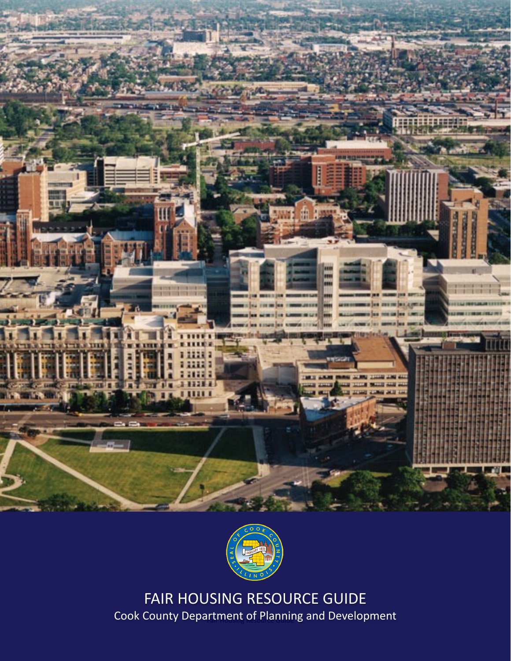



Cook County Department of Planning and Development FAIR HOUSING RESOURCE GUIDE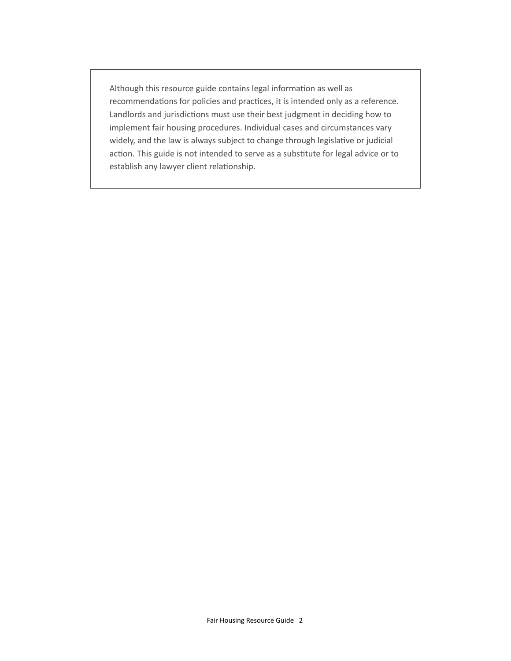Although this resource guide contains legal information as well as recommendations for policies and practices, it is intended only as a reference. Landlords and jurisdictions must use their best judgment in deciding how to implement fair housing procedures. Individual cases and circumstances vary widely, and the law is always subject to change through legislative or judicial action. This guide is not intended to serve as a substitute for legal advice or to establish any lawyer client relationship.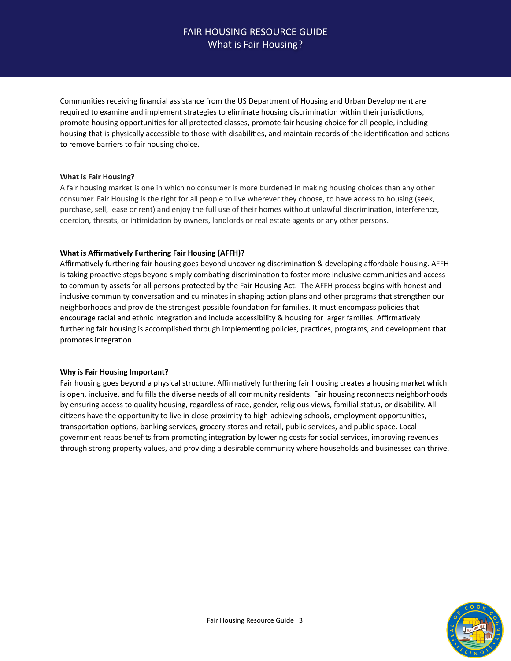# FAIR HOUSING RESOURCE GUIDE What is Fair Housing?

Communities receiving financial assistance from the US Department of Housing and Urban Development are required to examine and implement strategies to eliminate housing discrimination within their jurisdictions, promote housing opportunities for all protected classes, promote fair housing choice for all people, including housing that is physically accessible to those with disabilities, and maintain records of the identification and actions to remove barriers to fair housing choice.

### **What is Fair Housing?**

A fair housing market is one in which no consumer is more burdened in making housing choices than any other consumer. Fair Housing is the right for all people to live wherever they choose, to have access to housing (seek, purchase, sell, lease or rent) and enjoy the full use of their homes without unlawful discrimination, interference, coercion, threats, or intimidation by owners, landlords or real estate agents or any other persons.

### **What is Affirmatively Furthering Fair Housing (AFFH)?**

Affirmatively furthering fair housing goes beyond uncovering discrimination & developing affordable housing. AFFH is taking proactive steps beyond simply combating discrimination to foster more inclusive communities and access to community assets for all persons protected by the Fair Housing Act. The AFFH process begins with honest and inclusive community conversation and culminates in shaping action plans and other programs that strengthen our neighborhoods and provide the strongest possible foundation for families. It must encompass policies that encourage racial and ethnic integration and include accessibility & housing for larger families. Affirmatively furthering fair housing is accomplished through implementing policies, practices, programs, and development that promotes integration.

### **Why is Fair Housing Important?**

Fair housing goes beyond a physical structure. Affirmatively furthering fair housing creates a housing market which is open, inclusive, and fulfills the diverse needs of all community residents. Fair housing reconnects neighborhoods by ensuring access to quality housing, regardless of race, gender, religious views, familial status, or disability. All citizens have the opportunity to live in close proximity to high-achieving schools, employment opportunities, transportation options, banking services, grocery stores and retail, public services, and public space. Local government reaps benefits from promoting integration by lowering costs for social services, improving revenues through strong property values, and providing a desirable community where households and businesses can thrive.

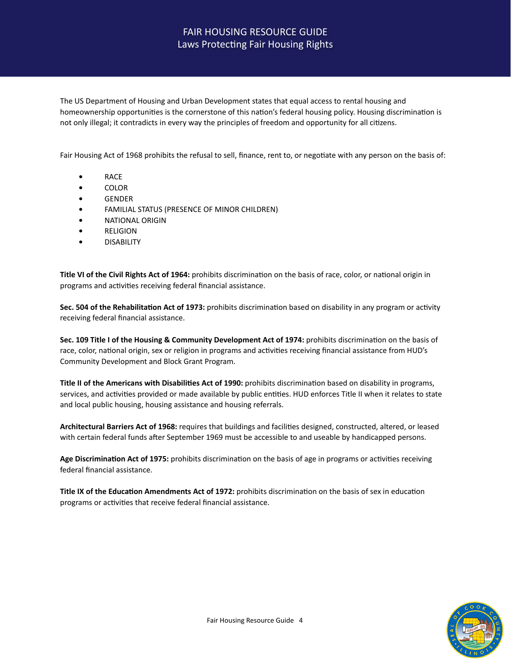# FAIR HOUSING RESOURCE GUIDE Laws Protecting Fair Housing Rights

The US Department of Housing and Urban Development states that equal access to rental housing and homeownership opportunities is the cornerstone of this nation's federal housing policy. Housing discrimination is not only illegal; it contradicts in every way the principles of freedom and opportunity for all citizens.

Fair Housing Act of 1968 prohibits the refusal to sell, finance, rent to, or negotiate with any person on the basis of:

- **•** RACE
- **•** COLOR
- **•** GENDER
- **FAMILIAL STATUS (PRESENCE OF MINOR CHILDREN)**
- **•** NATIONAL ORIGIN
- **•** RELIGION
- **•** DISABILITY

Title VI of the Civil Rights Act of 1964: prohibits discrimination on the basis of race, color, or national origin in programs and activities receiving federal financial assistance.

Sec. 504 of the Rehabilitation Act of 1973: prohibits discrimination based on disability in any program or activity receiving federal financial assistance.

Sec. 109 Title I of the Housing & Community Development Act of 1974: prohibits discrimination on the basis of race, color, national origin, sex or religion in programs and activities receiving financial assistance from HUD's Community Development and Block Grant Program.

**Title II of the Americans with Disabilities Act of 1990:** prohibits discrimination based on disability in programs, services, and activities provided or made available by public entities. HUD enforces Title II when it relates to state and local public housing, housing assistance and housing referrals.

Architectural Barriers Act of 1968: requires that buildings and facilities designed, constructed, altered, or leased with certain federal funds after September 1969 must be accessible to and useable by handicapped persons.

Age Discrimination Act of 1975: prohibits discrimination on the basis of age in programs or activities receiving federal financial assistance.

Title IX of the Education Amendments Act of 1972: prohibits discrimination on the basis of sex in education programs or activities that receive federal financial assistance.

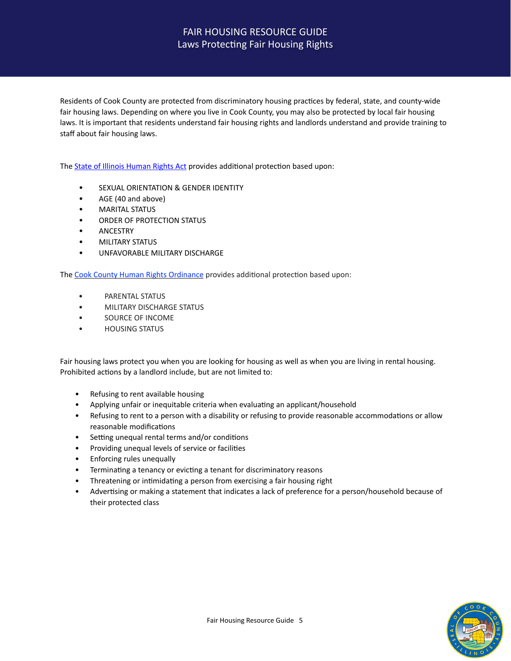# FAIR HOUSING RESOURCE GUIDE Laws Protecting Fair Housing Rights

Residents of Cook County are protected from discriminatory housing practices by federal, state, and county-wide fair housing laws. Depending on where you live in Cook County, you may also be protected by local fair housing laws. It is important that residents understand fair housing rights and landlords understand and provide training to staff about fair housing laws.

The **State of Illinois Human Rights Act provides additional protection based upon:** 

- **•** SEXUAL ORIENTATION & GENDER IDENTITY
- **•** AGE (40 and above)
- **•** MARITAL STATUS
- **ORDER OF PROTECTION STATUS**
- **•** ANCESTRY
- **•** MILITARY STATUS
- **UNFAVORABLE MILITARY DISCHARGE**

The Cook County Human Rights Ordinance provides additional protection based upon:

- PARENTAL STATUS
- **MILITARY DISCHARGE STATUS**
- SOURCE OF INCOME
- **HOUSING STATUS**

Fair housing laws protect you when you are looking for housing as well as when you are living in rental housing. Prohibited actions by a landlord include, but are not limited to:

- Refusing to rent available housing
- Applying unfair or inequitable criteria when evaluating an applicant/household
- Refusing to rent to a person with a disability or refusing to provide reasonable accommodations or allow reasonable modifications
- Setting unequal rental terms and/or conditions
- Providing unequal levels of service or facilities
- Enforcing rules unequally
- Terminating a tenancy or evicting a tenant for discriminatory reasons
- Threatening or intimidating a person from exercising a fair housing right
- Advertising or making a statement that indicates a lack of preference for a person/household because of their protected class

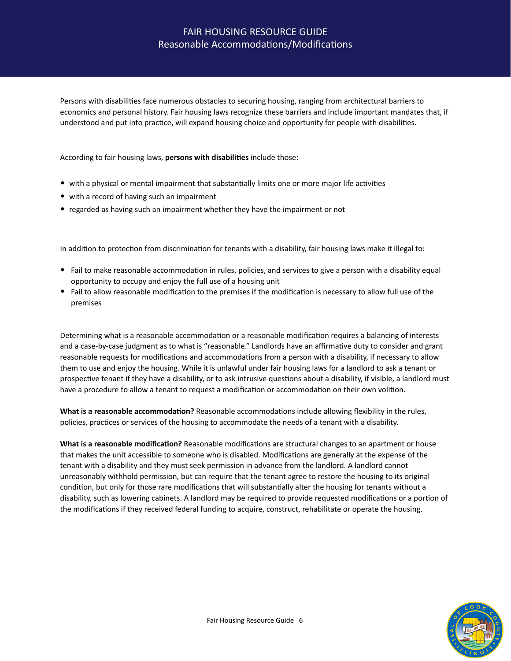# FAIR HOUSING RESOURCE GUIDE Reasonable Accommodations/Modifications

Persons with disabilities face numerous obstacles to securing housing, ranging from architectural barriers to economics and personal history. Fair housing laws recognize these barriers and include important mandates that, if understood and put into practice, will expand housing choice and opportunity for people with disabilities.

According to fair housing laws, **persons with disabilities** include those:

- with a physical or mental impairment that substantially limits one or more major life activities
- with a record of having such an impairment
- regarded as having such an impairment whether they have the impairment or not

In addition to protection from discrimination for tenants with a disability, fair housing laws make it illegal to:

- Fail to make reasonable accommodation in rules, policies, and services to give a person with a disability equal opportunity to occupy and enjoy the full use of a housing unit
- Fail to allow reasonable modification to the premises if the modification is necessary to allow full use of the premises

Determining what is a reasonable accommodation or a reasonable modification requires a balancing of interests and a case-by-case judgment as to what is "reasonable." Landlords have an affirmative duty to consider and grant reasonable requests for modifications and accommodations from a person with a disability, if necessary to allow them to use and enjoy the housing. While it is unlawful under fair housing laws for a landlord to ask a tenant or prospective tenant if they have a disability, or to ask intrusive questions about a disability, if visible, a landlord must have a procedure to allow a tenant to request a modification or accommodation on their own volition.

**What is a reasonable accommodation?** Reasonable accommodations include allowing flexibility in the rules, policies, practices or services of the housing to accommodate the needs of a tenant with a disability.

**What is a reasonable modification?** Reasonable modifications are structural changes to an apartment or house that makes the unit accessible to someone who is disabled. Modifications are generally at the expense of the tenant with a disability and they must seek permission in advance from the landlord. A landlord cannot unreasonably withhold permission, but can require that the tenant agree to restore the housing to its original condition, but only for those rare modifications that will substantially alter the housing for tenants without a disability, such as lowering cabinets. A landlord may be required to provide requested modifications or a portion of the modifications if they received federal funding to acquire, construct, rehabilitate or operate the housing.

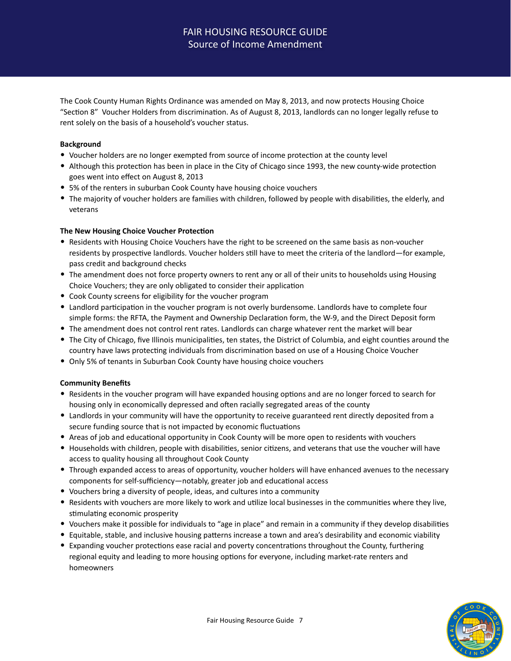# **FAIR HOUSING RESOURCE GUIDE** Source of Income Amendment

The Cook County Human Rights Ordinance was amended on May 8, 2013, and now protects Housing Choice "Section 8" Voucher Holders from discrimination. As of August 8, 2013, landlords can no longer legally refuse to rent solely on the basis of a household's voucher status.

### **Background**

- Voucher holders are no longer exempted from source of income protection at the county level
- Although this protection has been in place in the City of Chicago since 1993, the new county-wide protection goes went into effect on August 8, 2013
- 5% of the renters in suburban Cook County have housing choice vouchers
- The majority of voucher holders are families with children, followed by people with disabilities, the elderly, and veterans

### **The New Housing Choice Voucher Protection**

- Residents with Housing Choice Vouchers have the right to be screened on the same basis as non-voucher residents by prospective landlords. Voucher holders still have to meet the criteria of the landlord—for example, pass credit and background checks
- The amendment does not force property owners to rent any or all of their units to households using Housing Choice Vouchers; they are only obligated to consider their application
- Cook County screens for eligibility for the voucher program
- Landlord participation in the voucher program is not overly burdensome. Landlords have to complete four simple forms: the RFTA, the Payment and Ownership Declaration form, the W-9, and the Direct Deposit form
- The amendment does not control rent rates. Landlords can charge whatever rent the market will bear
- The City of Chicago, five Illinois municipalities, ten states, the District of Columbia, and eight counties around the country have laws protecting individuals from discrimination based on use of a Housing Choice Voucher
- Only 5% of tenants in Suburban Cook County have housing choice vouchers

### **Community Benefits**

- Residents in the voucher program will have expanded housing options and are no longer forced to search for housing only in economically depressed and often racially segregated areas of the county
- Landlords in your community will have the opportunity to receive guaranteed rent directly deposited from a secure funding source that is not impacted by economic fluctuations
- Areas of job and educational opportunity in Cook County will be more open to residents with vouchers
- Households with children, people with disabilities, senior citizens, and veterans that use the voucher will have access to quality housing all throughout Cook County
- Through expanded access to areas of opportunity, voucher holders will have enhanced avenues to the necessary components for self-sufficiency—notably, greater job and educational access
- Vouchers bring a diversity of people, ideas, and cultures into a community
- Residents with vouchers are more likely to work and utilize local businesses in the communities where they live, stimulating economic prosperity
- Vouchers make it possible for individuals to "age in place" and remain in a community if they develop disabilities
- Equitable, stable, and inclusive housing patterns increase a town and area's desirability and economic viability
- Expanding voucher protections ease racial and poverty concentrations throughout the County, furthering regional equity and leading to more housing options for everyone, including market-rate renters and homeowners

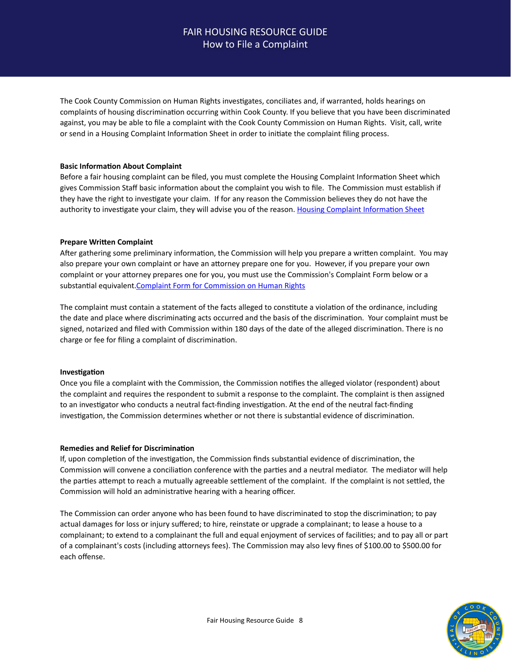# FAIR HOUSING RESOURCE GUIDE How to File a Complaint

The Cook County Commission on Human Rights investigates, conciliates and, if warranted, holds hearings on complaints of housing discrimination occurring within Cook County. If you believe that you have been discriminated against, you may be able to file a complaint with the Cook County Commission on Human Rights. Visit, call, write or send in a Housing Complaint Information Sheet in order to initiate the complaint filing process.

### **Basic Information About Complaint**

Before a fair housing complaint can be filed, you must complete the Housing Complaint Information Sheet which gives Commission Staff basic information about the complaint you wish to file. The Commission must establish if they have the right to investigate your claim. If for any reason the Commission believes they do not have the authority to investigate your claim, they will advise you of the reason. Housing Complaint Information Sheet

### **Prepare Written Complaint**

After gathering some preliminary information, the Commission will help you prepare a written complaint. You may also prepare your own complaint or have an attorney prepare one for you. However, if you prepare your own complaint or your attorney prepares one for you, you must use the Commission's Complaint Form below or a substantial equivalent. Complaint Form for Commission on Human Rights

The complaint must contain a statement of the facts alleged to constitute a violation of the ordinance, including the date and place where discriminating acts occurred and the basis of the discrimination. Your complaint must be signed, notarized and filed with Commission within 180 days of the date of the alleged discrimination. There is no charge or fee for filing a complaint of discrimination.

### **Investigation**

Once you file a complaint with the Commission, the Commission notifies the alleged violator (respondent) about the complaint and requires the respondent to submit a response to the complaint. The complaint is then assigned to an investigator who conducts a neutral fact-finding investigation. At the end of the neutral fact-finding investigation, the Commission determines whether or not there is substantial evidence of discrimination.

### **Remedies and Relief for Discrimination**

If, upon completion of the investigation, the Commission finds substantial evidence of discrimination, the Commission will convene a conciliation conference with the parties and a neutral mediator. The mediator will help the parties attempt to reach a mutually agreeable settlement of the complaint. If the complaint is not settled, the Commission will hold an administrative hearing with a hearing officer.

The Commission can order anyone who has been found to have discriminated to stop the discrimination; to pay actual damages for loss or injury suffered; to hire, reinstate or upgrade a complainant; to lease a house to a complainant; to extend to a complainant the full and equal enjoyment of services of facilities; and to pay all or part of a complainant's costs (including attorneys fees). The Commission may also levy fines of \$100.00 to \$500.00 for each offense. 

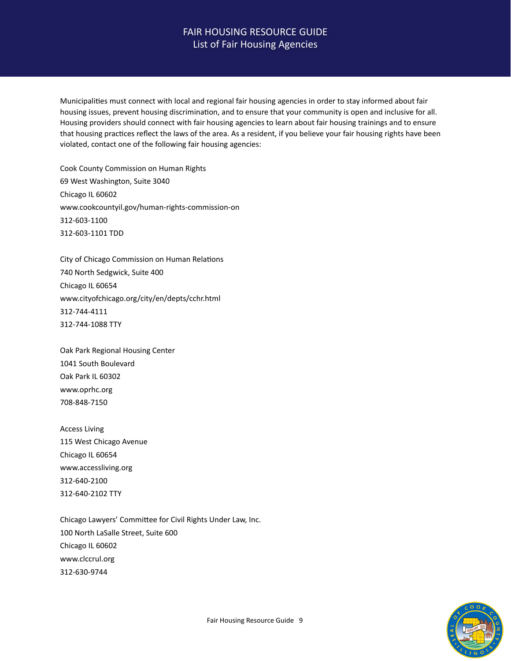## FAIR HOUSING RESOURCE GUIDE List of Fair Housing Agencies

Municipalities must connect with local and regional fair housing agencies in order to stay informed about fair housing issues, prevent housing discrimination, and to ensure that your community is open and inclusive for all. Housing providers should connect with fair housing agencies to learn about fair housing trainings and to ensure that housing practices reflect the laws of the area. As a resident, if you believe your fair housing rights have been violated, contact one of the following fair housing agencies:

Cook County Commission on Human Rights 69 West Washington, Suite 3040 Chicago IL 60602 www.cookcountyil.gov/human-rights-commission-on 312-603-1100 312-603-1101 TDD

City of Chicago Commission on Human Relations 740 North Sedgwick, Suite 400 Chicago IL 60654 www.cityofchicago.org/city/en/depts/cchr.html 312-744-4111 312-744-1088 TTY

Oak Park Regional Housing Center 1041 South Boulevard Oak Park IL 60302 www.oprhc.org 708-848-7150 

Access Living 115 West Chicago Avenue Chicago IL 60654 www.accessliving.org 312-640-2100 312-640-2102 TTY

Chicago Lawyers' Committee for Civil Rights Under Law, Inc. 100 North LaSalle Street, Suite 600 Chicago IL 60602 www.clccrul.org 312-630-9744 

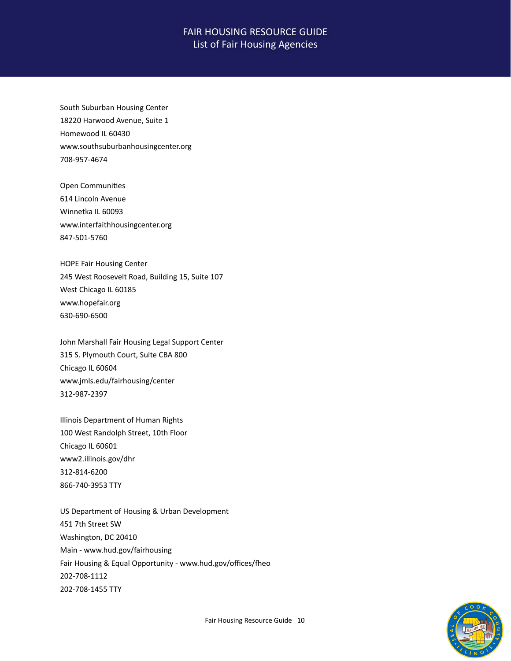## FAIR HOUSING RESOURCE GUIDE List of Fair Housing Agencies

South Suburban Housing Center 18220 Harwood Avenue, Suite 1 Homewood IL 60430 www.southsuburbanhousingcenter.org 708-957-4674 

Open Communities 614 Lincoln Avenue Winnetka IL 60093 www.interfaithhousingcenter.org 847-501-5760 

HOPE Fair Housing Center 245 West Roosevelt Road, Building 15, Suite 107 West Chicago IL 60185 www.hopefair.org 630-690-6500 

John Marshall Fair Housing Legal Support Center 315 S. Plymouth Court, Suite CBA 800 Chicago IL 60604 www.jmls.edu/fairhousing/center 312-987-2397

Illinois Department of Human Rights 100 West Randolph Street, 10th Floor Chicago IL 60601 www2.illinois.gov/dhr 312-814-6200 866-740-3953 TTY 

US Department of Housing & Urban Development 451 7th Street SW Washington, DC 20410 Main - www.hud.gov/fairhousing Fair Housing & Equal Opportunity - www.hud.gov/offices/fheo 202-708-1112 202-708-1455 TTY